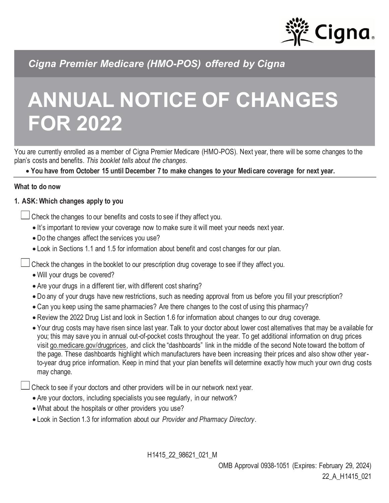

*Cigna Premier Medicare (HMO-POS) offered by Cigna*

# **ANNUAL NOTICE OF CHANGES FOR 2022**

You are currently enrolled as a member of Cigna Premier Medicare (HMO-POS). Next year, there will be some changes to the plan's costs and benefits. *This booklet tells about the changes.*

• **You have from October 15 until December 7 to make changes to your Medicare coverage for next year.**

### **What to do now**

## **1. ASK: Which changes apply to you**

Check the changes to our benefits and costs to see if they affect you.

- It's important to review your coverage now to make sure it will meet your needs next year.
- Do the changes affect the services you use?
- Look in Sections 1.1 and 1.5 for information about benefit and cost changes for our plan.

Check the changes in the booklet to our prescription drug coverage to see if they affect you.

- Will your drugs be covered?
- Are your drugs in a different tier, with different cost sharing?
- Do any of your drugs have new restrictions, such as needing approval from us before you fill your prescription?
- Can you keep using the same pharmacies? Are there changes to the cost of using this pharmacy?
- Review the 2022 Drug List and look in Section 1.6 for information about changes to our drug coverage.
- Your drug costs may have risen since last year. Talk to your doctor about lower cost alternatives that may be available for you; this may save you in annual out-of-pocket costs throughout the year. To get additional information on drug prices visit [go.medicare.gov/drugprices,](https://go.medicare.gov/drugprices) and click the "dashboards" link in the middle of the second Note toward the bottom of the page. These dashboards highlight which manufacturers have been increasing their prices and also show other yearto-year drug price information. Keep in mind that your plan benefits will determine exactly how much your own drug costs may change.

Check to see if your doctors and other providers will be in our network next year.

- Are your doctors, including specialists you see regularly, in our network?
- What about the hospitals or other providers you use?
- Look in Section 1.3 for information about our *Provider and Pharmacy Directory*.

H1415\_22\_98621\_021\_M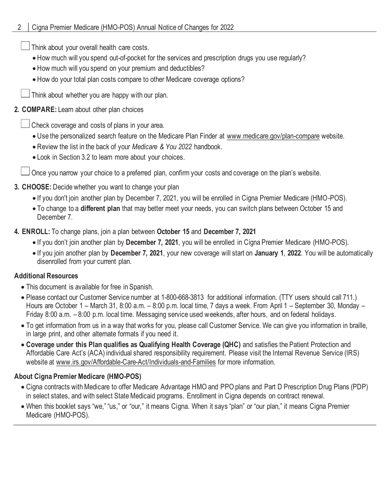Think about your overall health care costs.

- How much will you spend out-of-pocket for the services and prescription drugs you use regularly?
- How much will you spend on your premium and deductibles?
- How do your total plan costs compare to other Medicare coverage options?

Think about whether you are happy with our plan.

## **2. COMPARE:** Learn about other plan choices

Check coverage and costs of plans in your area.

- Use the personalized search feature on the Medicare Plan Finder at www.medicare.gov/plan-compare website.
- Review the list in the back of your *Medicare & You 2022* handbook.
- Look in Section 3.2 to learn more about your choices.

Once you narrow your choice to a preferred plan, confirm your costs and coverage on the plan's website.

## **3. CHOOSE:** Decide whether you want to change your plan

- If you don't join another plan by December 7, 2021, you will be enrolled in Cigna Premier Medicare (HMO-POS).
- To change to a **different plan** that may better meet your needs, you can switch plans between October 15 and December 7.
- **4. ENROLL:** To change plans, join a plan between **October 15** and **December 7, 2021**
	- If you don't join another plan by **December 7, 2021**, you will be enrolled in Cigna Premier Medicare (HMO-POS).
	- If you join another plan by **December 7, 2021**, your new coverage will start on **January 1**, **2022**. You will be automatically disenrolled from your current plan.

## **Additional Resources**

- This document is available for free in Spanish.
- Please contact our Customer Service number at 1-800-668-3813 for additional information. (TTY users should call 711.) Hours are October 1 – March 31, 8:00 a.m. – 8:00 p.m. local time, 7 days a week. From April 1 – September 30, Monday – Friday 8:00 a.m. – 8:00 p.m. local time. Messaging service used weekends, after hours, and on federal holidays.
- To get information from us in a way that works for you, please call Customer Service. We can give you information in braille, in large print, and other alternate formats if you need it.
- **Coverage under this Plan qualifies as Qualifying Health Coverage (QHC)** and satisfies the Patient Protection and Affordable Care Act's (ACA) individual shared responsibility requirement. Please visit the Internal Revenue Service (IRS) website at www.irs.gov/Affordable-Care-Act/Individuals-and-Families for more information.

## **About Cigna Premier Medicare (HMO-POS)**

- Cigna contracts with Medicare to offer Medicare Advantage HMO and PPO plans and Part D Prescription Drug Plans (PDP) in select states, and with select State Medicaid programs. Enrollment in Cigna depends on contract renewal.
- When this booklet says "we," "us," or "our," it means Cigna*.* When it says "plan" or "our plan," it means Cigna Premier Medicare (HMO-POS).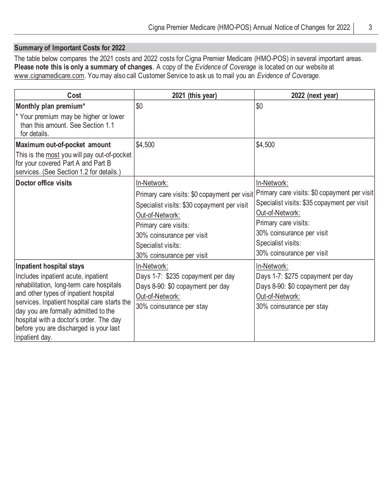## **Summary of Important Costs for 2022**

The table below compares the 2021 costs and 2022 costs for Cigna Premier Medicare (HMO-POS) in several important areas. **Please note this is only a summary of changes**. A copy of the *Evidence of Coverage* is located on our website at www.cignamedicare.com. You may also call Customer Service to ask us to mail you an *Evidence of Coverage*.

| Cost                                                                                                                          | 2021 (this year)                             | 2022 (next year)                             |
|-------------------------------------------------------------------------------------------------------------------------------|----------------------------------------------|----------------------------------------------|
| Monthly plan premium*                                                                                                         | \$0                                          | \$0                                          |
| * Your premium may be higher or lower<br>than this amount. See Section 1.1<br>for details.                                    |                                              |                                              |
| Maximum out-of-pocket amount                                                                                                  | \$4,500                                      | \$4,500                                      |
| This is the most you will pay out-of-pocket<br>for your covered Part A and Part B<br>services. (See Section 1.2 for details.) |                                              |                                              |
| Doctor office visits                                                                                                          | In-Network:                                  | In-Network:                                  |
|                                                                                                                               | Primary care visits: \$0 copayment per visit | Primary care visits: \$0 copayment per visit |
|                                                                                                                               | Specialist visits: \$30 copayment per visit  | Specialist visits: \$35 copayment per visit  |
|                                                                                                                               | Out-of-Network:                              | Out-of-Network:                              |
|                                                                                                                               | Primary care visits:                         | Primary care visits:                         |
|                                                                                                                               | 30% coinsurance per visit                    | 30% coinsurance per visit                    |
|                                                                                                                               | Specialist visits:                           | Specialist visits:                           |
|                                                                                                                               | 30% coinsurance per visit                    | 30% coinsurance per visit                    |
| Inpatient hospital stays                                                                                                      | In-Network:                                  | In-Network:                                  |
| Includes inpatient acute, inpatient                                                                                           | Days 1-7: \$235 copayment per day            | Days 1-7: \$275 copayment per day            |
| rehabilitation, long-term care hospitals                                                                                      | Days 8-90: \$0 copayment per day             | Days 8-90: \$0 copayment per day             |
| and other types of inpatient hospital                                                                                         | Out-of-Network:                              | Out-of-Network:                              |
| services. Inpatient hospital care starts the                                                                                  | 30% coinsurance per stay                     | 30% coinsurance per stay                     |
| day you are formally admitted to the<br>hospital with a doctor's order. The day                                               |                                              |                                              |
| before you are discharged is your last                                                                                        |                                              |                                              |
| inpatient day.                                                                                                                |                                              |                                              |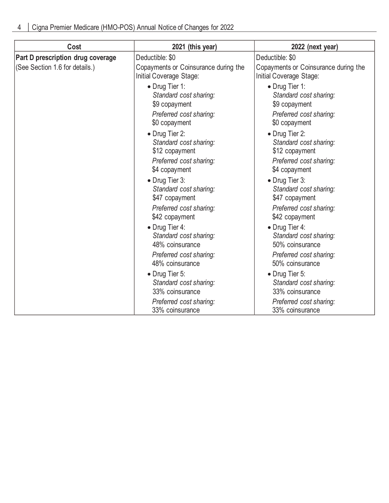| Cost                              | 2021 (this year)                                                                                      | 2022 (next year)                                                                                      |
|-----------------------------------|-------------------------------------------------------------------------------------------------------|-------------------------------------------------------------------------------------------------------|
| Part D prescription drug coverage | Deductible: \$0                                                                                       | Deductible: \$0                                                                                       |
| (See Section 1.6 for details.)    | Copayments or Coinsurance during the<br>Initial Coverage Stage:                                       | Copayments or Coinsurance during the<br>Initial Coverage Stage:                                       |
|                                   | • Drug Tier 1:<br>Standard cost sharing:<br>\$9 copayment<br>Preferred cost sharing:<br>\$0 copayment | • Drug Tier 1:<br>Standard cost sharing:<br>\$9 copayment<br>Preferred cost sharing:<br>\$0 copayment |
|                                   | • Drug Tier 2:<br>Standard cost sharing:<br>\$12 copayment<br>Preferred cost sharing:                 | • Drug Tier 2:<br>Standard cost sharing:<br>\$12 copayment<br>Preferred cost sharing:                 |
|                                   | \$4 copayment<br>• Drug Tier 3:<br>Standard cost sharing:<br>\$47 copayment                           | \$4 copayment<br>• Drug Tier 3:<br>Standard cost sharing:<br>\$47 copayment                           |
|                                   | Preferred cost sharing:<br>\$42 copayment                                                             | Preferred cost sharing:<br>\$42 copayment                                                             |
|                                   | • Drug Tier 4:<br>Standard cost sharing:<br>48% coinsurance                                           | • Drug Tier 4:<br>Standard cost sharing:<br>50% coinsurance                                           |
|                                   | Preferred cost sharing:<br>48% coinsurance                                                            | Preferred cost sharing:<br>50% coinsurance                                                            |
|                                   | • Drug Tier 5:<br>Standard cost sharing:<br>33% coinsurance                                           | • Drug Tier 5:<br>Standard cost sharing:<br>33% coinsurance                                           |
|                                   | Preferred cost sharing:<br>33% coinsurance                                                            | Preferred cost sharing:<br>33% coinsurance                                                            |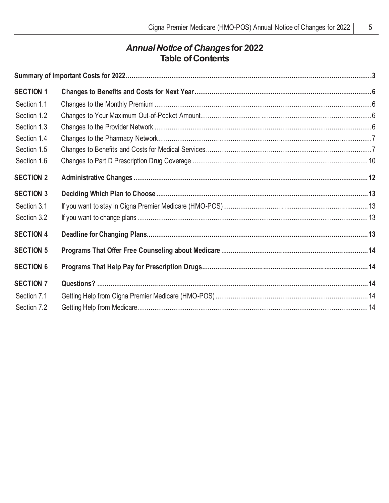# *Annual Notice of Changes***for 2022 Table of Contents**

| <b>SECTION 1</b> |  |
|------------------|--|
| Section 1.1      |  |
| Section 1.2      |  |
| Section 1.3      |  |
| Section 1.4      |  |
| Section 1.5      |  |
| Section 1.6      |  |
| <b>SECTION 2</b> |  |
| <b>SECTION 3</b> |  |
| Section 3.1      |  |
| Section 3.2      |  |
| <b>SECTION 4</b> |  |
| <b>SECTION 5</b> |  |
| <b>SECTION 6</b> |  |
| <b>SECTION 7</b> |  |
| Section 7.1      |  |
| Section 7.2      |  |
|                  |  |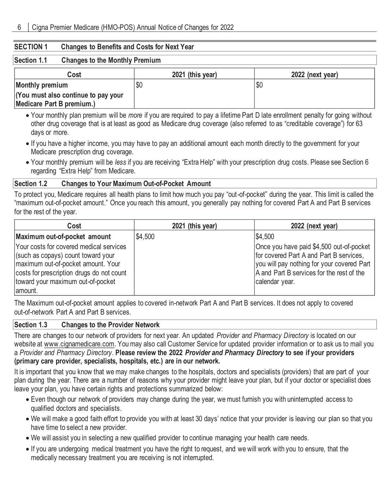#### **SECTION 1 Changes to Benefits and Costs for Next Year**

#### **Section 1.1 Changes to the Monthly Premium**

| Cost                                | 2021 (this year) | 2022 (next year) |
|-------------------------------------|------------------|------------------|
| Monthly premium                     |                  | 'SC              |
| (You must also continue to pay your |                  |                  |
| Medicare Part B premium.)           |                  |                  |

- Your monthly plan premium will be *more* if you are required to pay a lifetime Part D late enrollment penalty for going without other drug coverage that is at least as good as Medicare drug coverage (also referred to as "creditable coverage") for 63 days or more.
- If you have a higher income, you may have to pay an additional amount each month directly to the government for your Medicare prescription drug coverage.
- Your monthly premium will be *less* if you are receiving "Extra Help" with your prescription drug costs. Please see Section 6 regarding "Extra Help" from Medicare.

#### **Section 1.2 Changes to Your Maximum Out-of-Pocket Amount**

To protect you, Medicare requires all health plans to limit how much you pay "out-of-pocket" during the year. This limit is called the "maximum out-of-pocket amount." Once you reach this amount, you generally pay nothing for covered Part A and Part B services for the rest of the year.

| Cost                                                                                                                                                                                                             | 2021 (this year) | 2022 (next year)                                                                                                                                                                                 |
|------------------------------------------------------------------------------------------------------------------------------------------------------------------------------------------------------------------|------------------|--------------------------------------------------------------------------------------------------------------------------------------------------------------------------------------------------|
| Maximum out-of-pocket amount                                                                                                                                                                                     | \$4,500          | \$4,500                                                                                                                                                                                          |
| Your costs for covered medical services<br>(such as copays) count toward your<br>maximum out-of-pocket amount. Your<br>costs for prescription drugs do not count<br>toward your maximum out-of-pocket<br>amount. |                  | Once you have paid \$4,500 out-of-pocket<br>for covered Part A and Part B services,<br>you will pay nothing for your covered Part<br>A and Part B services for the rest of the<br>calendar year. |

The Maximum out-of-pocket amount applies to covered in-network Part A and Part B services. It does not apply to covered out-of-network Part A and Part B services.

#### **Section 1.3 Changes to the Provider Network**

There are changes to our network of providers for next year. An updated *Provider and Pharmacy Directory* is located on our website at www.cignamedicare.com. You may also call Customer Service for updated provider information or to ask us to mail you a *Provider and Pharmacy Directory*. **Please review the 2022** *Provider and Pharmacy Directory* **to see if your providers (primary care provider, specialists, hospitals, etc.) are in our network.**

It is important that you know that we may make changes to the hospitals, doctors and specialists (providers) that are part of your plan during the year. There are a number of reasons why your provider might leave your plan, but if your doctor or specialist does leave your plan, you have certain rights and protections summarized below:

- Even though our network of providers may change during the year, we must furnish you with uninterrupted access to qualified doctors and specialists.
- We will make a good faith effort to provide you with at least 30 days' notice that your provider is leaving our plan so that you have time to select a new provider.
- We will assist you in selecting a new qualified provider to continue managing your health care needs.
- If you are undergoing medical treatment you have the right to request, and we will work with you to ensure, that the medically necessary treatment you are receiving is not interrupted.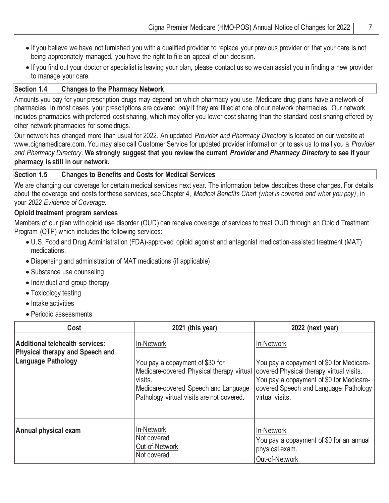- If you believe we have not furnished you with a qualified provider to replace your previous provider or that your care is not being appropriately managed, you have the right to file an appeal of our decision.
- If you find out your doctor or specialist is leaving your plan, please contact us so we can assist you in finding a new provi der to manage your care.

## **Section 1.4 Changes to the Pharmacy Network**

Amounts you pay for your prescription drugs may depend on which pharmacy you use. Medicare drug plans have a network of pharmacies. In most cases, your prescriptions are covered *only* if they are filled at one of our network pharmacies. Our network includes pharmacies with preferred cost sharing, which may offer you lower cost sharing than the standard cost sharing offered by other network pharmacies for some drugs.

Our network has changed more than usual for 2022. An updated *Provider and Pharmacy Directory* is located on our website at www.cignamedicare.com. You may also call Customer Service for updated provider information or to ask us to mail you a *Provider and Pharmacy Directory*. **We strongly suggest that you review the current** *Provider and Pharmacy Directory* **to see if your pharmacy is still in our network.**

### **Section 1.5 Changes to Benefits and Costs for Medical Services**

We are changing our coverage for certain medical services next year. The information below describes these changes. For details about the coverage and costs for these services, see Chapter 4, *Medical Benefits Chart (what is covered and what you pay)*, in your *2022 Evidence of Coverage.*

## **Opioid treatment program services**

Members of our plan with opioid use disorder (OUD) can receive coverage of services to treat OUD through an Opioid Treatment Program (OTP) which includes the following services:

- U.S. Food and Drug Administration (FDA)-approved opioid agonist and antagonist medication-assisted treatment (MAT) medications.
- Dispensing and administration of MAT medications (if applicable)
- Substance use counseling
- Individual and group therapy
- Toxicology testing
- Intake activities
- Periodic assessments

| Cost                                                                                     | 2021 (this year)                                                                                                                                                                           | 2022 (next year)                                                                                                                                                                                           |
|------------------------------------------------------------------------------------------|--------------------------------------------------------------------------------------------------------------------------------------------------------------------------------------------|------------------------------------------------------------------------------------------------------------------------------------------------------------------------------------------------------------|
| Additional telehealth services:<br>Physical therapy and Speech and<br>Language Pathology | In-Network<br>You pay a copayment of \$30 for<br>Medicare-covered Physical therapy virtual<br>visits.<br>Medicare-covered Speech and Language<br>Pathology virtual visits are not covered. | In-Network<br>You pay a copayment of \$0 for Medicare-<br>covered Physical therapy virtual visits.<br>You pay a copayment of \$0 for Medicare-<br>covered Speech and Language Pathology<br>virtual visits. |
| Annual physical exam                                                                     | In-Network<br>Not covered.<br>Out-of-Network<br>Not covered.                                                                                                                               | In-Network<br>You pay a copayment of \$0 for an annual<br>physical exam.<br>Out-of-Network                                                                                                                 |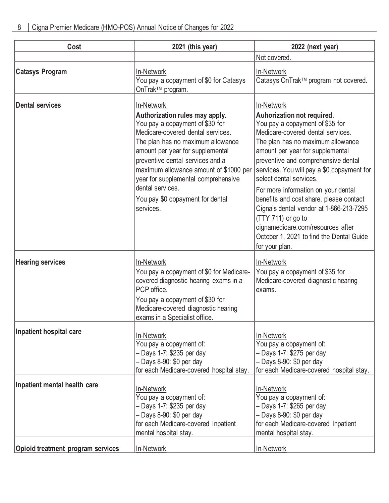| Cost                                     | 2021 (this year)                                                                                                                                                                                                                                                                                                                                                                        | 2022 (next year)                                                                                                                                                                                                                                                                                                                                                                                                                                                                                                                                                |
|------------------------------------------|-----------------------------------------------------------------------------------------------------------------------------------------------------------------------------------------------------------------------------------------------------------------------------------------------------------------------------------------------------------------------------------------|-----------------------------------------------------------------------------------------------------------------------------------------------------------------------------------------------------------------------------------------------------------------------------------------------------------------------------------------------------------------------------------------------------------------------------------------------------------------------------------------------------------------------------------------------------------------|
|                                          |                                                                                                                                                                                                                                                                                                                                                                                         | Not covered.                                                                                                                                                                                                                                                                                                                                                                                                                                                                                                                                                    |
| <b>Catasys Program</b>                   | In-Network<br>You pay a copayment of \$0 for Catasys<br>OnTrak™ program.                                                                                                                                                                                                                                                                                                                | In-Network<br>Catasys OnTrak™ program not covered.                                                                                                                                                                                                                                                                                                                                                                                                                                                                                                              |
| <b>Dental services</b>                   | In-Network<br>Authorization rules may apply.<br>You pay a copayment of \$30 for<br>Medicare-covered dental services.<br>The plan has no maximum allowance<br>amount per year for supplemental<br>preventive dental services and a<br>maximum allowance amount of \$1000 per<br>year for supplemental comprehensive<br>dental services.<br>You pay \$0 copayment for dental<br>services. | In-Network<br>Auhorization not required.<br>You pay a copayment of \$35 for<br>Medicare-covered dental services.<br>The plan has no maximum allowance<br>amount per year for supplemental<br>preventive and comprehensive dental<br>services. You will pay a \$0 copayment for<br>select dental services.<br>For more information on your dental<br>benefits and cost share, please contact<br>Cigna's dental vendor at 1-866-213-7295<br>(TTY 711) or go to<br>cignamedicare.com/resources after<br>October 1, 2021 to find the Dental Guide<br>for your plan. |
| <b>Hearing services</b>                  | In-Network<br>You pay a copayment of \$0 for Medicare-<br>covered diagnostic hearing exams in a<br>PCP office.<br>You pay a copayment of \$30 for<br>Medicare-covered diagnostic hearing<br>exams in a Specialist office.                                                                                                                                                               | In-Network<br>You pay a copayment of \$35 for<br>Medicare-covered diagnostic hearing<br>exams.                                                                                                                                                                                                                                                                                                                                                                                                                                                                  |
| Inpatient hospital care                  | In-Network<br>You pay a copayment of:<br>- Days 1-7: \$235 per day<br>$-$ Days 8-90: \$0 per day<br>for each Medicare-covered hospital stay.                                                                                                                                                                                                                                            | In-Network<br>You pay a copayment of:<br>- Days 1-7: \$275 per day<br>$-$ Days 8-90: \$0 per day<br>for each Medicare-covered hospital stay.                                                                                                                                                                                                                                                                                                                                                                                                                    |
| Inpatient mental health care             | In-Network<br>You pay a copayment of:<br>- Days 1-7: \$235 per day<br>- Days 8-90: \$0 per day<br>for each Medicare-covered Inpatient<br>mental hospital stay.                                                                                                                                                                                                                          | In-Network<br>You pay a copayment of:<br>- Days 1-7: \$265 per day<br>- Days 8-90: \$0 per day<br>for each Medicare-covered Inpatient<br>mental hospital stay.                                                                                                                                                                                                                                                                                                                                                                                                  |
| <b>Opioid treatment program services</b> | In-Network                                                                                                                                                                                                                                                                                                                                                                              | In-Network                                                                                                                                                                                                                                                                                                                                                                                                                                                                                                                                                      |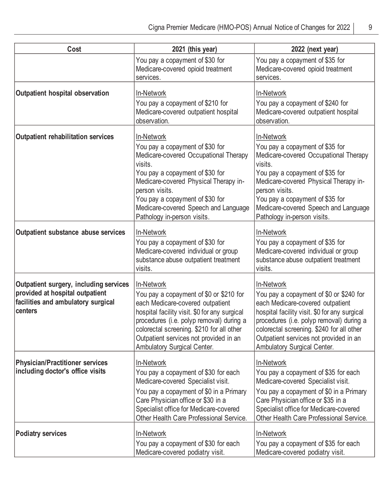| Cost                                                                                                                       | 2021 (this year)                                                                                                                                                                                                                                                                                                    | 2022 (next year)                                                                                                                                                                                                                                                                                             |
|----------------------------------------------------------------------------------------------------------------------------|---------------------------------------------------------------------------------------------------------------------------------------------------------------------------------------------------------------------------------------------------------------------------------------------------------------------|--------------------------------------------------------------------------------------------------------------------------------------------------------------------------------------------------------------------------------------------------------------------------------------------------------------|
|                                                                                                                            | You pay a copayment of \$30 for<br>Medicare-covered opioid treatment<br>services.                                                                                                                                                                                                                                   | You pay a copayment of \$35 for<br>Medicare-covered opioid treatment<br>services.                                                                                                                                                                                                                            |
| Outpatient hospital observation                                                                                            | In-Network<br>You pay a copayment of \$210 for<br>Medicare-covered outpatient hospital<br>observation.                                                                                                                                                                                                              | In-Network<br>You pay a copayment of \$240 for<br>Medicare-covered outpatient hospital<br>observation.                                                                                                                                                                                                       |
| <b>Outpatient rehabilitation services</b>                                                                                  | In-Network<br>You pay a copayment of \$30 for<br>Medicare-covered Occupational Therapy<br>visits.<br>You pay a copayment of \$30 for<br>Medicare-covered Physical Therapy in-<br>person visits.<br>You pay a copayment of \$30 for<br>Medicare-covered Speech and Language<br>Pathology in-person visits.           | In-Network<br>You pay a copayment of \$35 for<br>Medicare-covered Occupational Therapy<br>visits.<br>You pay a copayment of \$35 for<br>Medicare-covered Physical Therapy in-<br>person visits.<br>You pay a copayment of \$35 for<br>Medicare-covered Speech and Language<br>Pathology in-person visits.    |
| Outpatient substance abuse services                                                                                        | In-Network<br>You pay a copayment of \$30 for<br>Medicare-covered individual or group<br>substance abuse outpatient treatment<br>visits.                                                                                                                                                                            | In-Network<br>You pay a copayment of \$35 for<br>Medicare-covered individual or group<br>substance abuse outpatient treatment<br>visits.                                                                                                                                                                     |
| Outpatient surgery, including services<br>provided at hospital outpatient<br>facilities and ambulatory surgical<br>centers | In-Network<br>You pay a copayment of \$0 or \$210 for<br>each Medicare-covered outpatient<br>hospital facility visit. \$0 for any surgical<br>procedures (i.e. polyp removal) during a<br>colorectal screening. \$210 for all other<br>Outpatient services not provided in an<br><b>Ambulatory Surgical Center.</b> | In-Network<br>You pay a copayment of \$0 or \$240 for<br>each Medicare-covered outpatient<br>hospital facility visit. \$0 for any surgical<br>procedures (i.e. polyp removal) during a<br>colorectal screening. \$240 for all other<br>Outpatient services not provided in an<br>Ambulatory Surgical Center. |
| <b>Physician/Practitioner services</b><br>including doctor's office visits                                                 | In-Network<br>You pay a copayment of \$30 for each<br>Medicare-covered Specialist visit.<br>You pay a copayment of \$0 in a Primary<br>Care Physician office or \$30 in a<br>Specialist office for Medicare-covered<br>Other Health Care Professional Service.                                                      | In-Network<br>You pay a copayment of \$35 for each<br>Medicare-covered Specialist visit.<br>You pay a copayment of \$0 in a Primary<br>Care Physician office or \$35 in a<br>Specialist office for Medicare-covered<br>Other Health Care Professional Service.                                               |
| <b>Podiatry services</b>                                                                                                   | In-Network<br>You pay a copayment of \$30 for each<br>Medicare-covered podiatry visit.                                                                                                                                                                                                                              | In-Network<br>You pay a copayment of \$35 for each<br>Medicare-covered podiatry visit.                                                                                                                                                                                                                       |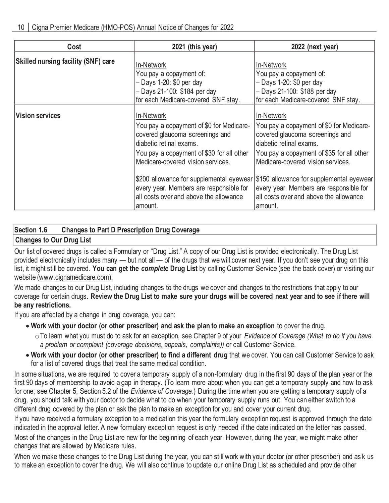| Cost                                       | 2021 (this year)                                                                                                                                                                                       | 2022 (next year)                                                                                                                                                                                       |
|--------------------------------------------|--------------------------------------------------------------------------------------------------------------------------------------------------------------------------------------------------------|--------------------------------------------------------------------------------------------------------------------------------------------------------------------------------------------------------|
| <b>Skilled nursing facility (SNF) care</b> | In-Network<br>You pay a copayment of:<br>$-$ Days 1-20: \$0 per day<br>- Days 21-100: \$184 per day<br>for each Medicare-covered SNF stay.                                                             | In-Network<br>You pay a copayment of:<br>$-$ Days 1-20: \$0 per day<br>- Days 21-100: \$188 per day<br>for each Medicare-covered SNF stay.                                                             |
| <b>Vision services</b>                     | In-Network<br>You pay a copayment of \$0 for Medicare-<br>covered glaucoma screenings and<br>diabetic retinal exams.<br>You pay a copayment of \$30 for all other<br>Medicare-covered vision services. | In-Network<br>You pay a copayment of \$0 for Medicare-<br>covered glaucoma screenings and<br>diabetic retinal exams.<br>You pay a copayment of \$35 for all other<br>Medicare-covered vision services. |
|                                            | \$200 allowance for supplemental eyewear<br>every year. Members are responsible for<br>all costs over and above the allowance<br>amount.                                                               | \$150 allowance for supplemental eyewear<br>every year. Members are responsible for<br>all costs over and above the allowance<br>amount.                                                               |

## **Section 1.6 Changes to Part D Prescription Drug Coverage**

## **Changes to Our Drug List**

Our list of covered drugs is called a Formulary or "Drug List." A copy of our Drug List is provided electronically. The Drug List provided electronically includes many — but not all — of the drugs that we will cover next year. If you don't see your drug on this list, it might still be covered. **You can get the** *complete* **Drug List** by calling Customer Service (see the back cover) or visiting our website (www.cignamedicare.com).

We made changes to our Drug List, including changes to the drugs we cover and changes to the restrictions that apply to our coverage for certain drugs. **Review the Drug List to make sure your drugs will be covered next year and to see if there will be any restrictions.**

If you are affected by a change in drug coverage, you can:

- **Work with your doctor (or other prescriber) and ask the plan to make an exception** to cover the drug.
	- oTo learn what you must do to ask for an exception, see Chapter 9 of your *Evidence of Coverage (What to do if you have a problem or complaint (coverage decisions, appeals, complaints))* or call Customer Service.
- **Work with your doctor (or other prescriber) to find a different drug** that we cover. You can call Customer Service to ask for a list of covered drugs that treat the same medical condition.

In some situations, we are required to cover a temporary supply of a non-formulary drug in the first 90 days of the plan year or the first 90 days of membership to avoid a gap in therapy. (To learn more about when you can get a temporary supply and how to ask for one, see Chapter 5, Section 5.2 of the *Evidence of Coverage.*) During the time when you are getting a temporary supply of a drug, you should talk with your doctor to decide what to do when your temporary supply runs out. You can either switch to a different drug covered by the plan or ask the plan to make an exception for you and cover your current drug.

If you have received a formulary exception to a medication this year the formulary exception request is approved through the date indicated in the approval letter. A new formulary exception request is only needed if the date indicated on the letter has passed. Most of the changes in the Drug List are new for the beginning of each year. However, during the year, we might make other changes that are allowed by Medicare rules.

When we make these changes to the Drug List during the year, you can still work with your doctor (or other prescriber) and as k us to make an exception to cover the drug. We will also continue to update our online Drug List as scheduled and provide other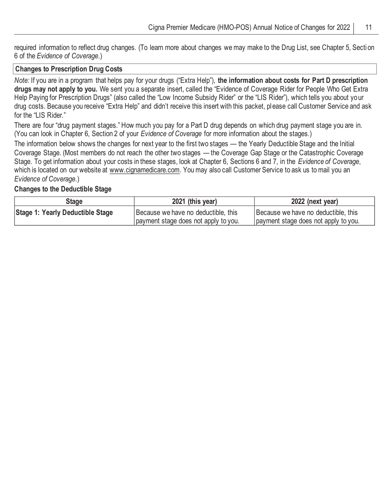required information to reflect drug changes. (To learn more about changes we may make to the Drug List, see Chapter 5, Secti on 6 of the *Evidence of Coverage*.)

#### **Changes to Prescription Drug Costs**

*Note:* If you are in a program that helps pay for your drugs ("Extra Help"), **the information about costs for Part D prescription drugs may not apply to you.** We sent you a separate insert, called the "Evidence of Coverage Rider for People Who Get Extra Help Paying for Prescription Drugs" (also called the "Low Income Subsidy Rider" or the "LIS Rider"), which tells you about your drug costs. Because you receive "Extra Help" and didn't receive this insert with this packet, please call Customer Service and ask for the "LIS Rider."

There are four "drug payment stages." How much you pay for a Part D drug depends on which drug payment stage you are in. (You can look in Chapter 6, Section 2 of your *Evidence of Coverage* for more information about the stages.)

The information below shows the changes for next year to the first two stages — the Yearly Deductible Stage and the Initial Coverage Stage. (Most members do not reach the other two stages — the Coverage Gap Stage or the Catastrophic Coverage Stage. To get information about your costs in these stages, look at Chapter 6, Sections 6 and 7, in the *Evidence of Coverage*, which is located on our website at www.cignamedicare.com. You may also call Customer Service to ask us to mail you an *Evidence of Coverage*.)

#### **Changes to the Deductible Stage**

| Stage                            | 2021 (this year)                     | 2022 (next year)                     |
|----------------------------------|--------------------------------------|--------------------------------------|
| Stage 1: Yearly Deductible Stage | Because we have no deductible, this  | Because we have no deductible, this  |
|                                  | payment stage does not apply to you. | payment stage does not apply to you. |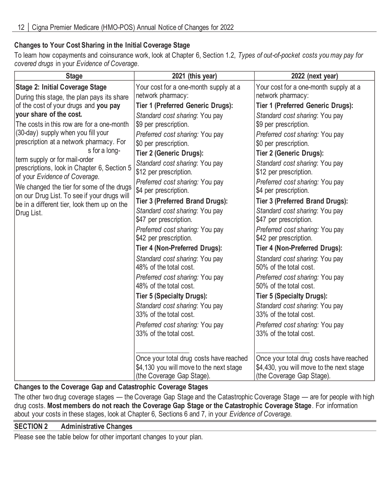## **Changes to Your Cost Sharing in the Initial Coverage Stage**

To learn how copayments and coinsurance work, look at Chapter 6, Section 1.2, *Types of out-of-pocket costs you may pay for covered drugs* in your *Evidence of Coverage*.

| 2021 (this year)                                                                                                                                                                                                                                                                                                                                                                                                                                                                                                           | 2022 (next year)                                                                                                                                                                                                                                                                                                                                                                                                                                                                                                                                                |
|----------------------------------------------------------------------------------------------------------------------------------------------------------------------------------------------------------------------------------------------------------------------------------------------------------------------------------------------------------------------------------------------------------------------------------------------------------------------------------------------------------------------------|-----------------------------------------------------------------------------------------------------------------------------------------------------------------------------------------------------------------------------------------------------------------------------------------------------------------------------------------------------------------------------------------------------------------------------------------------------------------------------------------------------------------------------------------------------------------|
| Your cost for a one-month supply at a<br>network pharmacy:                                                                                                                                                                                                                                                                                                                                                                                                                                                                 | Your cost for a one-month supply at a<br>network pharmacy:                                                                                                                                                                                                                                                                                                                                                                                                                                                                                                      |
| <b>Tier 1 (Preferred Generic Drugs):</b>                                                                                                                                                                                                                                                                                                                                                                                                                                                                                   | <b>Tier 1 (Preferred Generic Drugs):</b>                                                                                                                                                                                                                                                                                                                                                                                                                                                                                                                        |
| Standard cost sharing: You pay<br>\$9 per prescription.<br>Preferred cost sharing: You pay<br>\$0 per prescription.<br>Tier 2 (Generic Drugs):<br>Standard cost sharing: You pay<br>\$12 per prescription.<br>Preferred cost sharing: You pay<br>\$4 per prescription.                                                                                                                                                                                                                                                     | Standard cost sharing: You pay<br>\$9 per prescription.<br>Preferred cost sharing: You pay<br>\$0 per prescription.<br>Tier 2 (Generic Drugs):<br>Standard cost sharing: You pay<br>\$12 per prescription.<br>Preferred cost sharing: You pay<br>\$4 per prescription.                                                                                                                                                                                                                                                                                          |
| Tier 3 (Preferred Brand Drugs):<br>Standard cost sharing: You pay<br>\$47 per prescription.<br>Preferred cost sharing: You pay<br>\$42 per prescription.<br>Tier 4 (Non-Preferred Drugs):<br>Standard cost sharing: You pay<br>48% of the total cost.<br>Preferred cost sharing: You pay<br>48% of the total cost.<br><b>Tier 5 (Specialty Drugs):</b><br>Standard cost sharing: You pay<br>33% of the total cost.<br>Preferred cost sharing: You pay<br>33% of the total cost.<br>Once your total drug costs have reached | Tier 3 (Preferred Brand Drugs):<br>Standard cost sharing: You pay<br>\$47 per prescription.<br>Preferred cost sharing: You pay<br>\$42 per prescription.<br>Tier 4 (Non-Preferred Drugs):<br>Standard cost sharing: You pay<br>50% of the total cost.<br>Preferred cost sharing: You pay<br>50% of the total cost.<br>Tier 5 (Specialty Drugs):<br>Standard cost sharing: You pay<br>33% of the total cost.<br>Preferred cost sharing: You pay<br>33% of the total cost.<br>Once your total drug costs have reached<br>\$4,430, you will move to the next stage |
|                                                                                                                                                                                                                                                                                                                                                                                                                                                                                                                            | \$4,130 you will move to the next stage<br>(the Coverage Gap Stage).                                                                                                                                                                                                                                                                                                                                                                                                                                                                                            |

## **Changes to the Coverage Gap and Catastrophic Coverage Stages**

The other two drug coverage stages — the Coverage Gap Stage and the Catastrophic Coverage Stage — are for people with high drug costs. **Most members do not reach the Coverage Gap Stage or the Catastrophic Coverage Stage**. For information about your costs in these stages, look at Chapter 6, Sections 6 and 7, in your *Evidence of Coverage.*

## **SECTION 2 Administrative Changes**

Please see the table below for other important changes to your plan.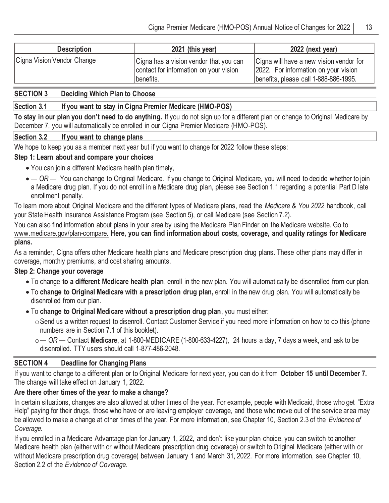| <b>Description</b>         | 2021 (this year)                                                                              | 2022 (next year)                                                                                                         |
|----------------------------|-----------------------------------------------------------------------------------------------|--------------------------------------------------------------------------------------------------------------------------|
| Cigna Vision Vendor Change | Cigna has a vision vendor that you can<br>contact for information on your vision<br>benefits. | Cigna will have a new vision vendor for<br>2022. For information on your vision<br>benefits, please call 1-888-886-1995. |

### **SECTION 3 Deciding Which Plan to Choose**

#### **Section 3.1 If you want to stay in Cigna Premier Medicare (HMO-POS)**

**To stay in our plan you don't need to do anything.** If you do not sign up for a different plan or change to Original Medicare by December 7, you will automatically be enrolled in our Cigna Premier Medicare (HMO-POS).

#### **Section 3.2 If you want to change plans**

We hope to keep you as a member next year but if you want to change for 2022 follow these steps:

#### **Step 1: Learn about and compare your choices**

- You can join a different Medicare health plan timely,
- *— OR —* You can change to Original Medicare. If you change to Original Medicare, you will need to decide whether to join a Medicare drug plan. If you do not enroll in a Medicare drug plan, please see Section 1.1 regarding a potential Part D late enrollment penalty.

To learn more about Original Medicare and the different types of Medicare plans, read the *Medicare & You 2022* handbook, call your State Health Insurance Assistance Program (see Section 5), or call Medicare (see Section 7.2).

You can also find information about plans in your area by using the Medicare Plan Finder on the Medicare website. Go to www.medicare.gov/plan-compare. **Here, you can find information about costs, coverage, and quality ratings for Medicare plans.**

As a reminder, Cigna offers other Medicare health plans and Medicare prescription drug plans. These other plans may differ in coverage, monthly premiums, and cost sharing amounts.

### **Step 2: Change your coverage**

- To change **to a different Medicare health plan**, enroll in the new plan. You will automatically be disenrolled from our plan.
- To **change to Original Medicare with a prescription drug plan,** enroll in the new drug plan. You will automatically be disenrolled from our plan.
- To **change to Original Medicare without a prescription drug plan**, you must either:
	- oSend us a written request to disenroll. Contact Customer Service if you need more information on how to do this (phone numbers are in Section 7.1 of this booklet).
	- o*— OR —* Contact **Medicare**, at 1-800-MEDICARE (1-800-633-4227), 24 hours a day, 7 days a week, and ask to be disenrolled. TTY users should call 1-877-486-2048.

### **SECTION 4 Deadline for Changing Plans**

If you want to change to a different plan or to Original Medicare for next year, you can do it from **October 15 until December 7.**  The change will take effect on January 1, 2022.

### **Are there other times of the year to make a change?**

In certain situations, changes are also allowed at other times of the year. For example, people with Medicaid, those who get "Extra Help" paying for their drugs, those who have or are leaving employer coverage, and those who move out of the service area may be allowed to make a change at other times of the year. For more information, see Chapter 10, Section 2.3 of the *Evidence of Coverage.*

If you enrolled in a Medicare Advantage plan for January 1, 2022, and don't like your plan choice, you can switch to another Medicare health plan (either with or without Medicare prescription drug coverage) or switch to Original Medicare (either with or without Medicare prescription drug coverage) between January 1 and March 31, 2022. For more information, see Chapter 10, Section 2.2 of the *Evidence of Coverage*.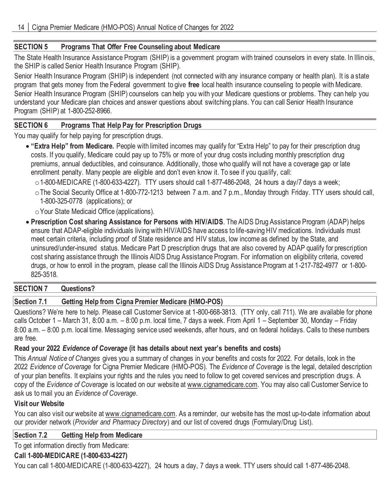## **SECTION 5 Programs That Offer Free Counseling about Medicare**

The State Health Insurance Assistance Program (SHIP) is a government program with trained counselors in every state. In Illinois, the SHIP is called Senior Health Insurance Program (SHIP).

Senior Health Insurance Program (SHIP) is independent (not connected with any insurance company or health plan). It is a state program that gets money from the Federal government to give **free** local health insurance counseling to people with Medicare. Senior Health Insurance Program (SHIP) counselors can help you with your Medicare questions or problems. They can help you understand your Medicare plan choices and answer questions about switching plans. You can call Senior Health Insurance Program (SHIP) at 1-800-252-8966.

## **SECTION 6 Programs That Help Pay for Prescription Drugs**

You may qualify for help paying for prescription drugs.

- **"Extra Help" from Medicare.** People with limited incomes may qualify for "Extra Help" to pay for their prescription drug costs. If you qualify, Medicare could pay up to 75% or more of your drug costs including monthly prescription drug premiums, annual deductibles, and coinsurance. Additionally, those who qualify will not have a coverage gap or late enrollment penalty. Many people are eligible and don't even know it. To see if you qualify, call:
	- $\circ$  1-800-MEDICARE (1-800-633-4227). TTY users should call 1-877-486-2048, 24 hours a day/7 days a week;
	- oThe Social Security Office at 1-800-772-1213 between 7 a.m. and 7 p.m., Monday through Friday. TTY users should call, 1-800-325-0778 (applications); or

oYour State Medicaid Office (applications).

• **Prescription Cost sharing Assistance for Persons with HIV/AIDS**. The AIDS Drug Assistance Program (ADAP) helps ensure that ADAP-eligible individuals living with HIV/AIDS have access to life-saving HIV medications. Individuals must meet certain criteria, including proof of State residence and HIV status, low income as defined by the State, and uninsured/under-insured status. Medicare Part D prescription drugs that are also covered by ADAP qualify for prescription cost sharing assistance through the Illinois AIDS Drug Assistance Program. For information on eligibility criteria, covered drugs, or how to enroll in the program, please call the Illinois AIDS Drug Assistance Program at 1-217-782-4977 or 1-800- 825-3518.

### **SECTION 7 Questions?**

## **Section 7.1 Getting Help from Cigna Premier Medicare (HMO-POS)**

Questions? We're here to help. Please call Customer Service at 1-800-668-3813. (TTY only, call 711). We are available for phone calls October 1 – March 31, 8:00 a.m. – 8:00 p.m. local time, 7 days a week. From April 1 – September 30, Monday – Friday 8:00 a.m. – 8:00 p.m. local time. Messaging service used weekends, after hours, and on federal holidays. Calls to these numbers are free.

## **Read your 2022** *Evidence of Coverage* **(it has details about next year's benefits and costs)**

This *Annual Notice of Changes* gives you a summary of changes in your benefits and costs for 2022. For details, look in the 2022 *Evidence of Coverage* for Cigna Premier Medicare (HMO-POS)*.* The *Evidence of Coverage* is the legal, detailed description of your plan benefits. It explains your rights and the rules you need to follow to get covered services and prescription drugs. A copy of the *Evidence of Coverage* is located on our website at www.cignamedicare.com. You may also call Customer Service to ask us to mail you an *Evidence of Coverage*.

### **Visit our Website**

You can also visit our website at www.cignamedicare.com. As a reminder, our website has the most up-to-date information about our provider network (*Provider and Pharmacy Directory*) and our list of covered drugs (Formulary/Drug List).

### **Section 7.2 Getting Help from Medicare**

To get information directly from Medicare:

## **Call 1-800-MEDICARE (1-800-633-4227)**

You can call 1-800-MEDICARE (1-800-633-4227), 24 hours a day, 7 days a week. TTY users should call 1-877-486-2048.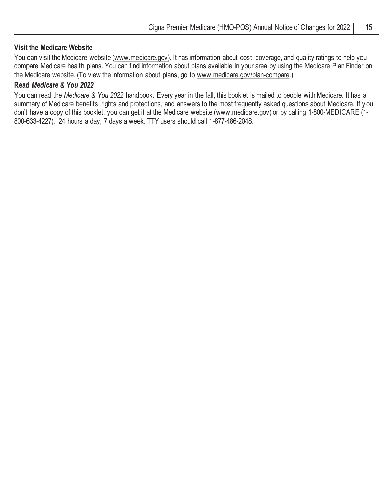#### **Visit the Medicare Website**

You can visit the Medicare website (www.medicare.gov). It has information about cost, coverage, and quality ratings to help you compare Medicare health plans. You can find information about plans available in your area by using the Medicare Plan Finder on the Medicare website. (To view the information about plans, go to www.medicare.gov/plan-compare.)

## **Read** *Medicare & You 2022*

You can read the *Medicare & You 2022* handbook. Every year in the fall, this booklet is mailed to people with Medicare. It has a summary of Medicare benefits, rights and protections, and answers to the most frequently asked questions about Medicare. If y ou don't have a copy of this booklet, you can get it at the Medicare website (www.medicare.gov) or by calling 1-800-MEDICARE (1- 800-633-4227), 24 hours a day, 7 days a week. TTY users should call 1-877-486-2048.